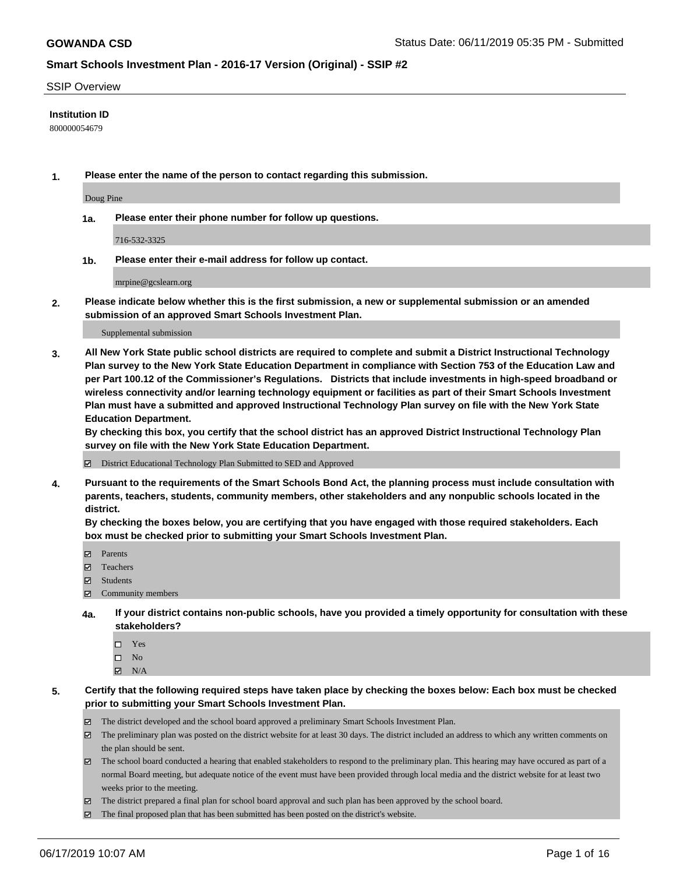#### SSIP Overview

#### **Institution ID**

800000054679

**1. Please enter the name of the person to contact regarding this submission.**

Doug Pine

**1a. Please enter their phone number for follow up questions.**

716-532-3325

**1b. Please enter their e-mail address for follow up contact.**

mrpine@gcslearn.org

**2. Please indicate below whether this is the first submission, a new or supplemental submission or an amended submission of an approved Smart Schools Investment Plan.**

#### Supplemental submission

**3. All New York State public school districts are required to complete and submit a District Instructional Technology Plan survey to the New York State Education Department in compliance with Section 753 of the Education Law and per Part 100.12 of the Commissioner's Regulations. Districts that include investments in high-speed broadband or wireless connectivity and/or learning technology equipment or facilities as part of their Smart Schools Investment Plan must have a submitted and approved Instructional Technology Plan survey on file with the New York State Education Department.** 

**By checking this box, you certify that the school district has an approved District Instructional Technology Plan survey on file with the New York State Education Department.**

District Educational Technology Plan Submitted to SED and Approved

**4. Pursuant to the requirements of the Smart Schools Bond Act, the planning process must include consultation with parents, teachers, students, community members, other stakeholders and any nonpublic schools located in the district.** 

**By checking the boxes below, you are certifying that you have engaged with those required stakeholders. Each box must be checked prior to submitting your Smart Schools Investment Plan.**

- Parents
- Teachers
- Students
- Community members
- **4a. If your district contains non-public schools, have you provided a timely opportunity for consultation with these stakeholders?**
	- □ Yes
	- $\square$  No
	- $N/A$
- **5. Certify that the following required steps have taken place by checking the boxes below: Each box must be checked prior to submitting your Smart Schools Investment Plan.**
	- The district developed and the school board approved a preliminary Smart Schools Investment Plan.
	- $\boxtimes$  The preliminary plan was posted on the district website for at least 30 days. The district included an address to which any written comments on the plan should be sent.
	- $\boxtimes$  The school board conducted a hearing that enabled stakeholders to respond to the preliminary plan. This hearing may have occured as part of a normal Board meeting, but adequate notice of the event must have been provided through local media and the district website for at least two weeks prior to the meeting.
	- The district prepared a final plan for school board approval and such plan has been approved by the school board.
	- $\boxtimes$  The final proposed plan that has been submitted has been posted on the district's website.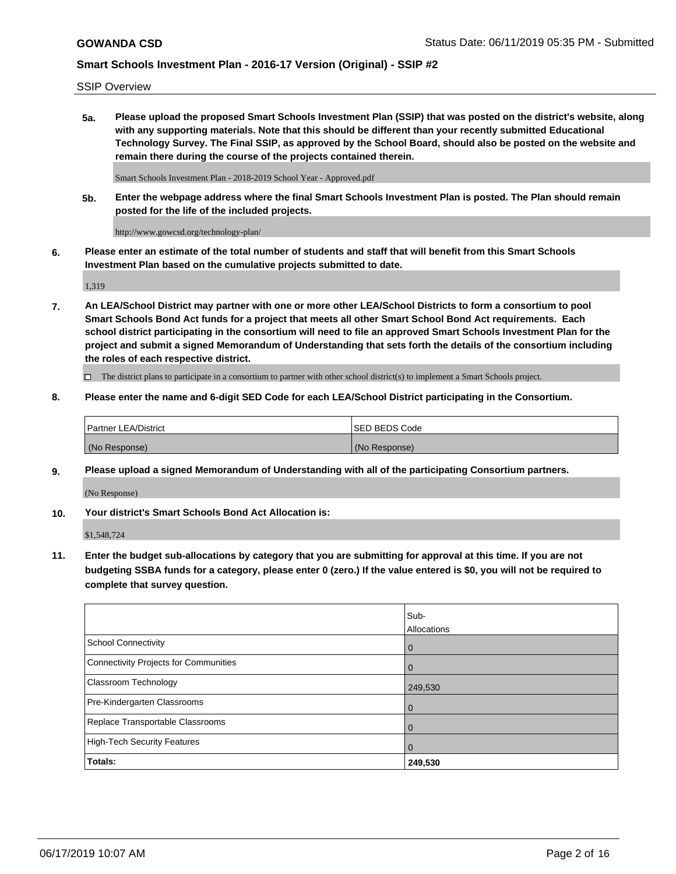SSIP Overview

**5a. Please upload the proposed Smart Schools Investment Plan (SSIP) that was posted on the district's website, along with any supporting materials. Note that this should be different than your recently submitted Educational Technology Survey. The Final SSIP, as approved by the School Board, should also be posted on the website and remain there during the course of the projects contained therein.**

Smart Schools Investment Plan - 2018-2019 School Year - Approved.pdf

**5b. Enter the webpage address where the final Smart Schools Investment Plan is posted. The Plan should remain posted for the life of the included projects.**

http://www.gowcsd.org/technology-plan/

**6. Please enter an estimate of the total number of students and staff that will benefit from this Smart Schools Investment Plan based on the cumulative projects submitted to date.**

1,319

**7. An LEA/School District may partner with one or more other LEA/School Districts to form a consortium to pool Smart Schools Bond Act funds for a project that meets all other Smart School Bond Act requirements. Each school district participating in the consortium will need to file an approved Smart Schools Investment Plan for the project and submit a signed Memorandum of Understanding that sets forth the details of the consortium including the roles of each respective district.**

 $\Box$  The district plans to participate in a consortium to partner with other school district(s) to implement a Smart Schools project.

#### **8. Please enter the name and 6-digit SED Code for each LEA/School District participating in the Consortium.**

| Partner LEA/District | <b>ISED BEDS Code</b> |
|----------------------|-----------------------|
| (No Response)        | (No Response)         |

#### **9. Please upload a signed Memorandum of Understanding with all of the participating Consortium partners.**

(No Response)

**10. Your district's Smart Schools Bond Act Allocation is:**

\$1,548,724

**11. Enter the budget sub-allocations by category that you are submitting for approval at this time. If you are not budgeting SSBA funds for a category, please enter 0 (zero.) If the value entered is \$0, you will not be required to complete that survey question.**

|                                       | Sub-<br>Allocations |
|---------------------------------------|---------------------|
| School Connectivity                   | $\mathbf 0$         |
| Connectivity Projects for Communities | $\Omega$            |
| <b>Classroom Technology</b>           | 249,530             |
| Pre-Kindergarten Classrooms           | $\overline{0}$      |
| Replace Transportable Classrooms      | $\Omega$            |
| High-Tech Security Features           | $\Omega$            |
| Totals:                               | 249,530             |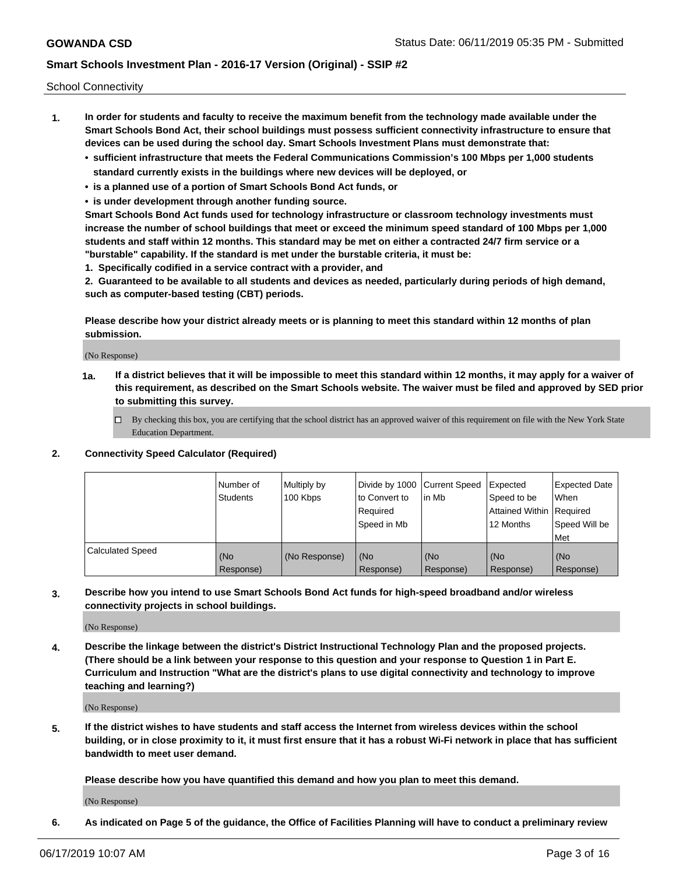School Connectivity

- **1. In order for students and faculty to receive the maximum benefit from the technology made available under the Smart Schools Bond Act, their school buildings must possess sufficient connectivity infrastructure to ensure that devices can be used during the school day. Smart Schools Investment Plans must demonstrate that:**
	- **• sufficient infrastructure that meets the Federal Communications Commission's 100 Mbps per 1,000 students standard currently exists in the buildings where new devices will be deployed, or**
	- **• is a planned use of a portion of Smart Schools Bond Act funds, or**
	- **• is under development through another funding source.**

**Smart Schools Bond Act funds used for technology infrastructure or classroom technology investments must increase the number of school buildings that meet or exceed the minimum speed standard of 100 Mbps per 1,000 students and staff within 12 months. This standard may be met on either a contracted 24/7 firm service or a "burstable" capability. If the standard is met under the burstable criteria, it must be:**

**1. Specifically codified in a service contract with a provider, and**

**2. Guaranteed to be available to all students and devices as needed, particularly during periods of high demand, such as computer-based testing (CBT) periods.**

**Please describe how your district already meets or is planning to meet this standard within 12 months of plan submission.**

(No Response)

**1a. If a district believes that it will be impossible to meet this standard within 12 months, it may apply for a waiver of this requirement, as described on the Smart Schools website. The waiver must be filed and approved by SED prior to submitting this survey.**

 $\Box$  By checking this box, you are certifying that the school district has an approved waiver of this requirement on file with the New York State Education Department.

#### **2. Connectivity Speed Calculator (Required)**

|                         | l Number of<br><b>Students</b> | Multiply by<br>100 Kbps | Divide by 1000 Current Speed<br>to Convert to<br>Required<br>l Speed in Mb | lin Mb           | Expected<br>Speed to be<br>Attained Within   Required<br>12 Months | <b>Expected Date</b><br>When<br>Speed Will be<br>Met |
|-------------------------|--------------------------------|-------------------------|----------------------------------------------------------------------------|------------------|--------------------------------------------------------------------|------------------------------------------------------|
| <b>Calculated Speed</b> | (No<br>Response)               | (No Response)           | (No<br>Response)                                                           | (No<br>Response) | (No<br>Response)                                                   | (No<br>Response)                                     |

**3. Describe how you intend to use Smart Schools Bond Act funds for high-speed broadband and/or wireless connectivity projects in school buildings.**

(No Response)

**4. Describe the linkage between the district's District Instructional Technology Plan and the proposed projects. (There should be a link between your response to this question and your response to Question 1 in Part E. Curriculum and Instruction "What are the district's plans to use digital connectivity and technology to improve teaching and learning?)**

(No Response)

**5. If the district wishes to have students and staff access the Internet from wireless devices within the school building, or in close proximity to it, it must first ensure that it has a robust Wi-Fi network in place that has sufficient bandwidth to meet user demand.**

**Please describe how you have quantified this demand and how you plan to meet this demand.**

(No Response)

**6. As indicated on Page 5 of the guidance, the Office of Facilities Planning will have to conduct a preliminary review**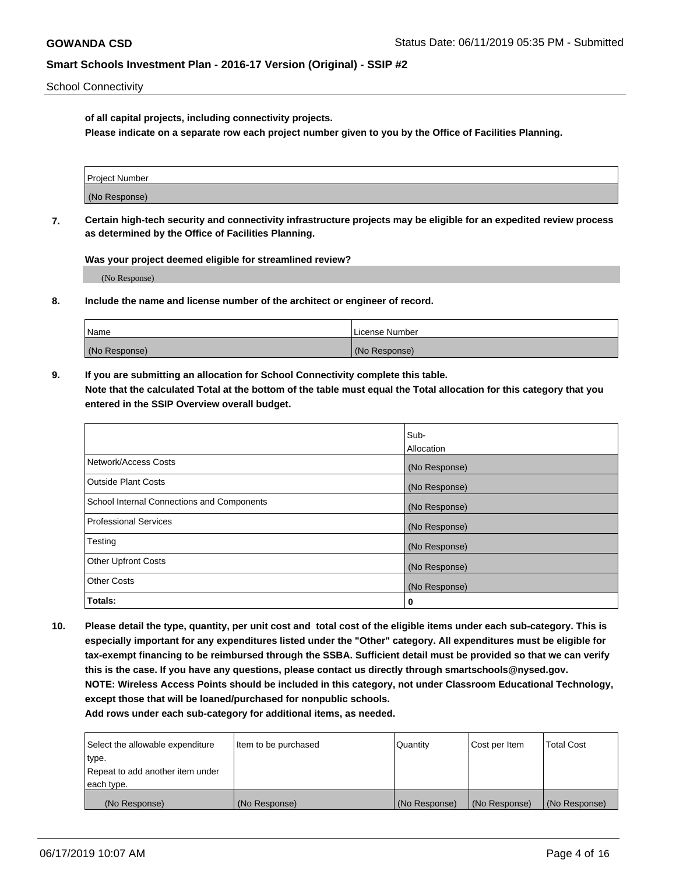School Connectivity

**of all capital projects, including connectivity projects.**

**Please indicate on a separate row each project number given to you by the Office of Facilities Planning.**

| Project Number |  |
|----------------|--|
|                |  |
| (No Response)  |  |
|                |  |

**7. Certain high-tech security and connectivity infrastructure projects may be eligible for an expedited review process as determined by the Office of Facilities Planning.**

**Was your project deemed eligible for streamlined review?**

(No Response)

**8. Include the name and license number of the architect or engineer of record.**

| Name          | License Number |
|---------------|----------------|
| (No Response) | (No Response)  |

**9. If you are submitting an allocation for School Connectivity complete this table. Note that the calculated Total at the bottom of the table must equal the Total allocation for this category that you entered in the SSIP Overview overall budget.** 

|                                            | Sub-              |
|--------------------------------------------|-------------------|
|                                            | <b>Allocation</b> |
| Network/Access Costs                       | (No Response)     |
| <b>Outside Plant Costs</b>                 | (No Response)     |
| School Internal Connections and Components | (No Response)     |
| <b>Professional Services</b>               | (No Response)     |
| Testing                                    | (No Response)     |
| <b>Other Upfront Costs</b>                 | (No Response)     |
| <b>Other Costs</b>                         | (No Response)     |
| Totals:                                    | 0                 |

**10. Please detail the type, quantity, per unit cost and total cost of the eligible items under each sub-category. This is especially important for any expenditures listed under the "Other" category. All expenditures must be eligible for tax-exempt financing to be reimbursed through the SSBA. Sufficient detail must be provided so that we can verify this is the case. If you have any questions, please contact us directly through smartschools@nysed.gov. NOTE: Wireless Access Points should be included in this category, not under Classroom Educational Technology, except those that will be loaned/purchased for nonpublic schools.**

| Select the allowable expenditure | Item to be purchased | Quantity      | <b>Cost per Item</b> | <b>Total Cost</b> |
|----------------------------------|----------------------|---------------|----------------------|-------------------|
| type.                            |                      |               |                      |                   |
| Repeat to add another item under |                      |               |                      |                   |
| each type.                       |                      |               |                      |                   |
| (No Response)                    | (No Response)        | (No Response) | (No Response)        | (No Response)     |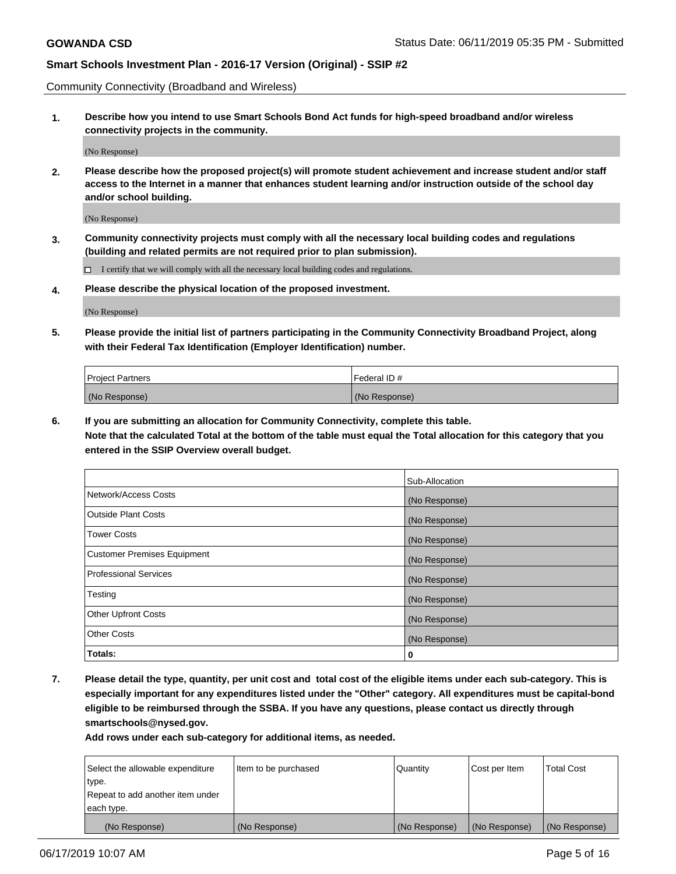Community Connectivity (Broadband and Wireless)

**1. Describe how you intend to use Smart Schools Bond Act funds for high-speed broadband and/or wireless connectivity projects in the community.**

(No Response)

**2. Please describe how the proposed project(s) will promote student achievement and increase student and/or staff access to the Internet in a manner that enhances student learning and/or instruction outside of the school day and/or school building.**

(No Response)

**3. Community connectivity projects must comply with all the necessary local building codes and regulations (building and related permits are not required prior to plan submission).**

 $\Box$  I certify that we will comply with all the necessary local building codes and regulations.

**4. Please describe the physical location of the proposed investment.**

(No Response)

**5. Please provide the initial list of partners participating in the Community Connectivity Broadband Project, along with their Federal Tax Identification (Employer Identification) number.**

| <b>Project Partners</b> | l Federal ID # |
|-------------------------|----------------|
| (No Response)           | (No Response)  |

**6. If you are submitting an allocation for Community Connectivity, complete this table.**

**Note that the calculated Total at the bottom of the table must equal the Total allocation for this category that you entered in the SSIP Overview overall budget.**

|                                    | Sub-Allocation |
|------------------------------------|----------------|
| Network/Access Costs               | (No Response)  |
| <b>Outside Plant Costs</b>         | (No Response)  |
| <b>Tower Costs</b>                 | (No Response)  |
| <b>Customer Premises Equipment</b> | (No Response)  |
| <b>Professional Services</b>       | (No Response)  |
| Testing                            | (No Response)  |
| <b>Other Upfront Costs</b>         | (No Response)  |
| <b>Other Costs</b>                 | (No Response)  |
| Totals:                            | 0              |

**7. Please detail the type, quantity, per unit cost and total cost of the eligible items under each sub-category. This is especially important for any expenditures listed under the "Other" category. All expenditures must be capital-bond eligible to be reimbursed through the SSBA. If you have any questions, please contact us directly through smartschools@nysed.gov.**

| Select the allowable expenditure | Item to be purchased | Quantity      | Cost per Item | <b>Total Cost</b> |
|----------------------------------|----------------------|---------------|---------------|-------------------|
| type.                            |                      |               |               |                   |
| Repeat to add another item under |                      |               |               |                   |
| each type.                       |                      |               |               |                   |
| (No Response)                    | (No Response)        | (No Response) | (No Response) | (No Response)     |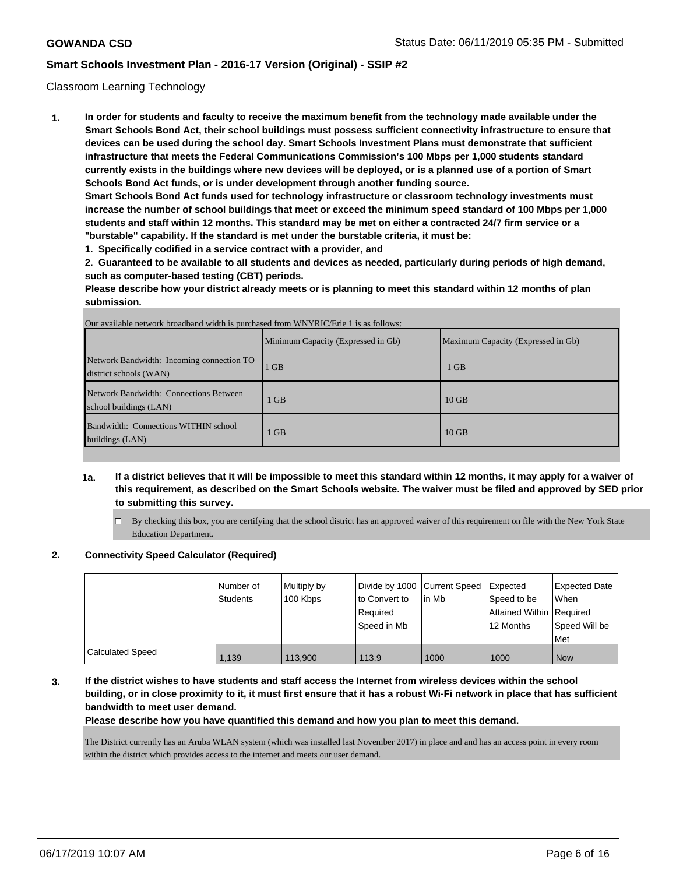#### Classroom Learning Technology

**1. In order for students and faculty to receive the maximum benefit from the technology made available under the Smart Schools Bond Act, their school buildings must possess sufficient connectivity infrastructure to ensure that devices can be used during the school day. Smart Schools Investment Plans must demonstrate that sufficient infrastructure that meets the Federal Communications Commission's 100 Mbps per 1,000 students standard currently exists in the buildings where new devices will be deployed, or is a planned use of a portion of Smart Schools Bond Act funds, or is under development through another funding source.**

**Smart Schools Bond Act funds used for technology infrastructure or classroom technology investments must increase the number of school buildings that meet or exceed the minimum speed standard of 100 Mbps per 1,000 students and staff within 12 months. This standard may be met on either a contracted 24/7 firm service or a "burstable" capability. If the standard is met under the burstable criteria, it must be:**

**1. Specifically codified in a service contract with a provider, and**

**2. Guaranteed to be available to all students and devices as needed, particularly during periods of high demand, such as computer-based testing (CBT) periods.**

**Please describe how your district already meets or is planning to meet this standard within 12 months of plan submission.**

|                                                                     | Minimum Capacity (Expressed in Gb) | Maximum Capacity (Expressed in Gb) |
|---------------------------------------------------------------------|------------------------------------|------------------------------------|
| Network Bandwidth: Incoming connection TO<br>district schools (WAN) | $1$ GB                             | 1 GB                               |
| Network Bandwidth: Connections Between<br>school buildings (LAN)    | $1$ GB                             | $10$ GB                            |
| Bandwidth: Connections WITHIN school<br>buildings (LAN)             | <b>GB</b>                          | $10$ GB                            |

- **1a. If a district believes that it will be impossible to meet this standard within 12 months, it may apply for a waiver of this requirement, as described on the Smart Schools website. The waiver must be filed and approved by SED prior to submitting this survey.**
	- $\Box$  By checking this box, you are certifying that the school district has an approved waiver of this requirement on file with the New York State Education Department.

#### **2. Connectivity Speed Calculator (Required)**

|                         | I Number of<br>Students | Multiply by<br>100 Kbps | Divide by 1000 Current Speed<br>to Convert to<br>Required<br>l Speed in Mb | lin Mb | <b>I</b> Expected<br>Speed to be<br>Attained Within   Required<br>12 Months | <b>Expected Date</b><br><b>When</b><br>Speed Will be<br>l Met |
|-------------------------|-------------------------|-------------------------|----------------------------------------------------------------------------|--------|-----------------------------------------------------------------------------|---------------------------------------------------------------|
| <b>Calculated Speed</b> | 1.139                   | 113,900                 | 113.9                                                                      | 1000   | 1000                                                                        | l Now                                                         |

**3. If the district wishes to have students and staff access the Internet from wireless devices within the school building, or in close proximity to it, it must first ensure that it has a robust Wi-Fi network in place that has sufficient bandwidth to meet user demand.**

#### **Please describe how you have quantified this demand and how you plan to meet this demand.**

The District currently has an Aruba WLAN system (which was installed last November 2017) in place and and has an access point in every room within the district which provides access to the internet and meets our user demand.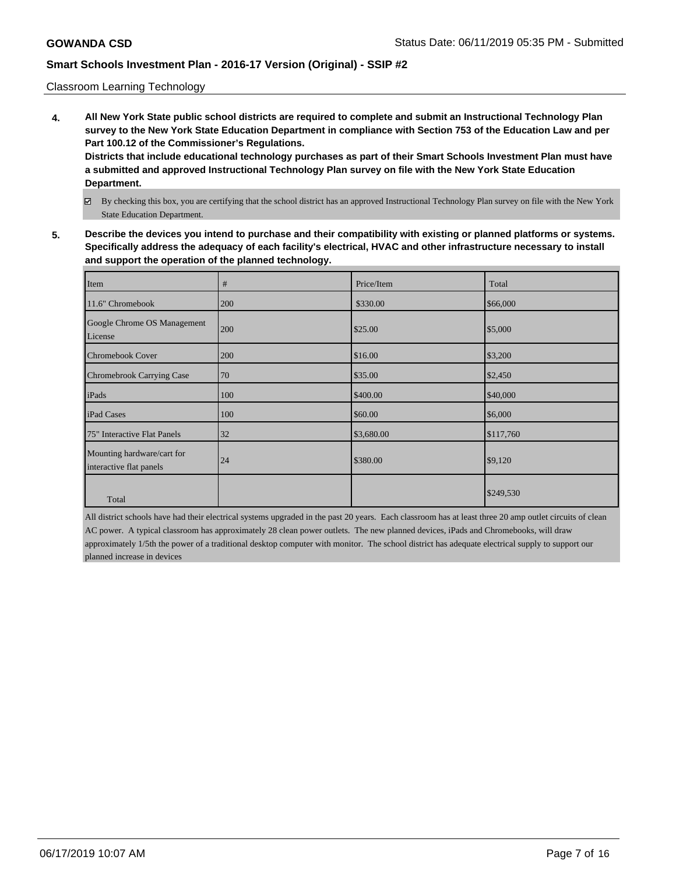#### Classroom Learning Technology

**4. All New York State public school districts are required to complete and submit an Instructional Technology Plan survey to the New York State Education Department in compliance with Section 753 of the Education Law and per Part 100.12 of the Commissioner's Regulations.**

**Districts that include educational technology purchases as part of their Smart Schools Investment Plan must have a submitted and approved Instructional Technology Plan survey on file with the New York State Education Department.**

- By checking this box, you are certifying that the school district has an approved Instructional Technology Plan survey on file with the New York State Education Department.
- **5. Describe the devices you intend to purchase and their compatibility with existing or planned platforms or systems. Specifically address the adequacy of each facility's electrical, HVAC and other infrastructure necessary to install and support the operation of the planned technology.**

| Item                                                  | #   | Price/Item | Total     |
|-------------------------------------------------------|-----|------------|-----------|
| 11.6" Chromebook                                      | 200 | \$330.00   | \$66,000  |
| Google Chrome OS Management<br>License                | 200 | \$25.00    | \$5,000   |
| Chromebook Cover                                      | 200 | \$16.00    | \$3,200   |
| <b>Chromebrook Carrying Case</b>                      | 70  | \$35.00    | \$2,450   |
| iPads                                                 | 100 | \$400.00   | \$40,000  |
| iPad Cases                                            | 100 | \$60.00    | \$6,000   |
| 75" Interactive Flat Panels                           | 32  | \$3,680.00 | \$117,760 |
| Mounting hardware/cart for<br>interactive flat panels | 24  | \$380.00   | \$9,120   |
| Total                                                 |     |            | \$249,530 |

All district schools have had their electrical systems upgraded in the past 20 years. Each classroom has at least three 20 amp outlet circuits of clean AC power. A typical classroom has approximately 28 clean power outlets. The new planned devices, iPads and Chromebooks, will draw approximately 1/5th the power of a traditional desktop computer with monitor. The school district has adequate electrical supply to support our planned increase in devices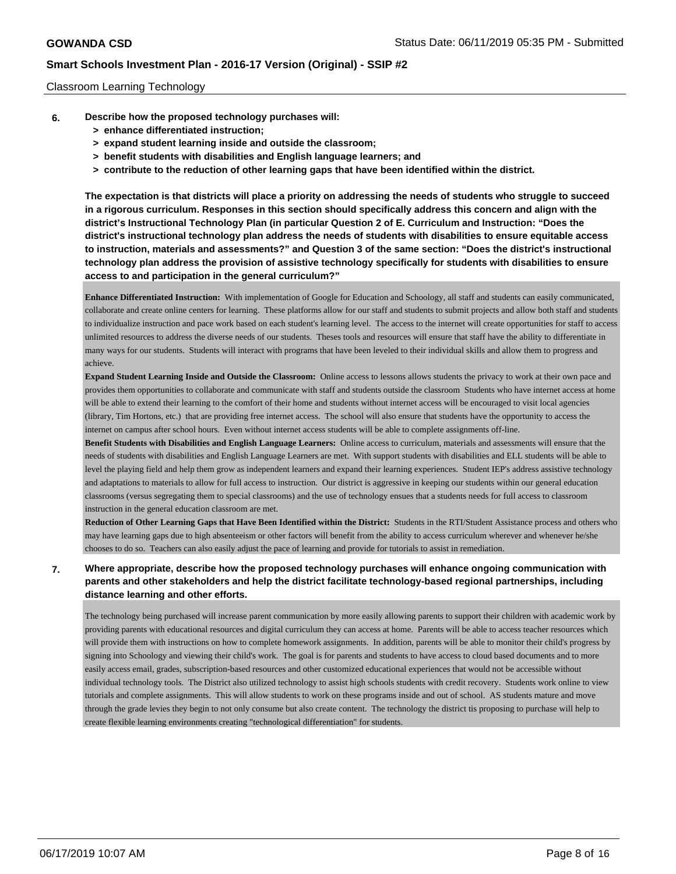#### Classroom Learning Technology

- **6. Describe how the proposed technology purchases will:**
	- **> enhance differentiated instruction;**
	- **> expand student learning inside and outside the classroom;**
	- **> benefit students with disabilities and English language learners; and**
	- **> contribute to the reduction of other learning gaps that have been identified within the district.**

**The expectation is that districts will place a priority on addressing the needs of students who struggle to succeed in a rigorous curriculum. Responses in this section should specifically address this concern and align with the district's Instructional Technology Plan (in particular Question 2 of E. Curriculum and Instruction: "Does the district's instructional technology plan address the needs of students with disabilities to ensure equitable access to instruction, materials and assessments?" and Question 3 of the same section: "Does the district's instructional technology plan address the provision of assistive technology specifically for students with disabilities to ensure access to and participation in the general curriculum?"**

**Enhance Differentiated Instruction:** With implementation of Google for Education and Schoology, all staff and students can easily communicated, collaborate and create online centers for learning. These platforms allow for our staff and students to submit projects and allow both staff and students to individualize instruction and pace work based on each student's learning level. The access to the internet will create opportunities for staff to access unlimited resources to address the diverse needs of our students. Theses tools and resources will ensure that staff have the ability to differentiate in many ways for our students. Students will interact with programs that have been leveled to their individual skills and allow them to progress and achieve.

**Expand Student Learning Inside and Outside the Classroom:** Online access to lessons allows students the privacy to work at their own pace and provides them opportunities to collaborate and communicate with staff and students outside the classroom Students who have internet access at home will be able to extend their learning to the comfort of their home and students without internet access will be encouraged to visit local agencies (library, Tim Hortons, etc.) that are providing free internet access. The school will also ensure that students have the opportunity to access the internet on campus after school hours. Even without internet access students will be able to complete assignments off-line.

**Benefit Students with Disabilities and English Language Learners:** Online access to curriculum, materials and assessments will ensure that the needs of students with disabilities and English Language Learners are met. With support students with disabilities and ELL students will be able to level the playing field and help them grow as independent learners and expand their learning experiences. Student IEP's address assistive technology and adaptations to materials to allow for full access to instruction. Our district is aggressive in keeping our students within our general education classrooms (versus segregating them to special classrooms) and the use of technology ensues that a students needs for full access to classroom instruction in the general education classroom are met.

**Reduction of Other Learning Gaps that Have Been Identified within the District:** Students in the RTI/Student Assistance process and others who may have learning gaps due to high absenteeism or other factors will benefit from the ability to access curriculum wherever and whenever he/she chooses to do so. Teachers can also easily adjust the pace of learning and provide for tutorials to assist in remediation.

### **7. Where appropriate, describe how the proposed technology purchases will enhance ongoing communication with parents and other stakeholders and help the district facilitate technology-based regional partnerships, including distance learning and other efforts.**

The technology being purchased will increase parent communication by more easily allowing parents to support their children with academic work by providing parents with educational resources and digital curriculum they can access at home. Parents will be able to access teacher resources which will provide them with instructions on how to complete homework assignments. In addition, parents will be able to monitor their child's progress by signing into Schoology and viewing their child's work. The goal is for parents and students to have access to cloud based documents and to more easily access email, grades, subscription-based resources and other customized educational experiences that would not be accessible without individual technology tools. The District also utilized technology to assist high schools students with credit recovery. Students work online to view tutorials and complete assignments. This will allow students to work on these programs inside and out of school. AS students mature and move through the grade levies they begin to not only consume but also create content. The technology the district tis proposing to purchase will help to create flexible learning environments creating "technological differentiation" for students.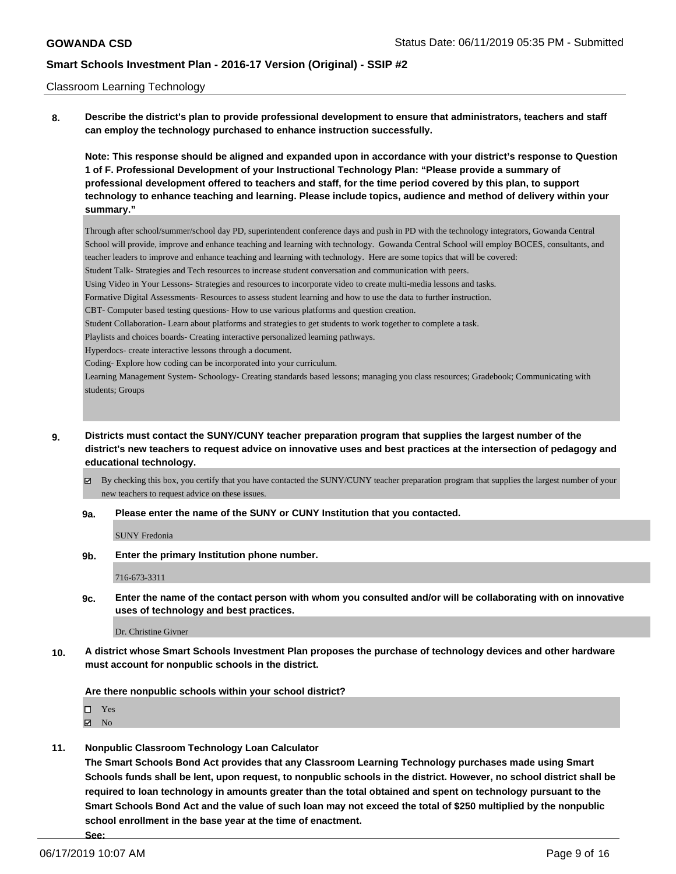#### Classroom Learning Technology

**8. Describe the district's plan to provide professional development to ensure that administrators, teachers and staff can employ the technology purchased to enhance instruction successfully.**

**Note: This response should be aligned and expanded upon in accordance with your district's response to Question 1 of F. Professional Development of your Instructional Technology Plan: "Please provide a summary of professional development offered to teachers and staff, for the time period covered by this plan, to support technology to enhance teaching and learning. Please include topics, audience and method of delivery within your summary."**

Through after school/summer/school day PD, superintendent conference days and push in PD with the technology integrators, Gowanda Central School will provide, improve and enhance teaching and learning with technology. Gowanda Central School will employ BOCES, consultants, and teacher leaders to improve and enhance teaching and learning with technology. Here are some topics that will be covered: Student Talk- Strategies and Tech resources to increase student conversation and communication with peers. Using Video in Your Lessons- Strategies and resources to incorporate video to create multi-media lessons and tasks. Formative Digital Assessments- Resources to assess student learning and how to use the data to further instruction. CBT- Computer based testing questions- How to use various platforms and question creation. Student Collaboration- Learn about platforms and strategies to get students to work together to complete a task. Playlists and choices boards- Creating interactive personalized learning pathways. Hyperdocs- create interactive lessons through a document. Coding- Explore how coding can be incorporated into your curriculum. Learning Management System- Schoology- Creating standards based lessons; managing you class resources; Gradebook; Communicating with students; Groups

**9. Districts must contact the SUNY/CUNY teacher preparation program that supplies the largest number of the district's new teachers to request advice on innovative uses and best practices at the intersection of pedagogy and educational technology.**

By checking this box, you certify that you have contacted the SUNY/CUNY teacher preparation program that supplies the largest number of your new teachers to request advice on these issues.

**9a. Please enter the name of the SUNY or CUNY Institution that you contacted.**

SUNY Fredonia

**9b. Enter the primary Institution phone number.**

716-673-3311

**9c. Enter the name of the contact person with whom you consulted and/or will be collaborating with on innovative uses of technology and best practices.**

Dr. Christine Givner

**10. A district whose Smart Schools Investment Plan proposes the purchase of technology devices and other hardware must account for nonpublic schools in the district.**

**Are there nonpublic schools within your school district?**

□ Yes

**Z** No

**11. Nonpublic Classroom Technology Loan Calculator**

**The Smart Schools Bond Act provides that any Classroom Learning Technology purchases made using Smart Schools funds shall be lent, upon request, to nonpublic schools in the district. However, no school district shall be required to loan technology in amounts greater than the total obtained and spent on technology pursuant to the Smart Schools Bond Act and the value of such loan may not exceed the total of \$250 multiplied by the nonpublic school enrollment in the base year at the time of enactment.**

**See:**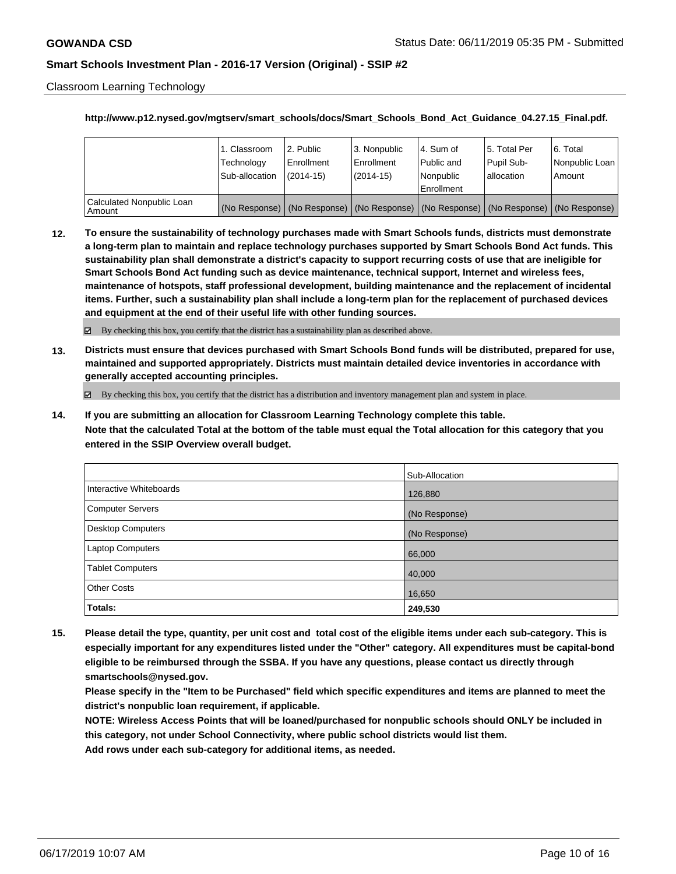Classroom Learning Technology

#### **http://www.p12.nysed.gov/mgtserv/smart\_schools/docs/Smart\_Schools\_Bond\_Act\_Guidance\_04.27.15\_Final.pdf.**

|                                       | 1. Classroom<br>Technology<br>Sub-allocation | 2. Public<br>Enrollment<br>(2014-15) | l 3. Nonpublic<br>l Enrollment<br>$(2014 - 15)$ | I4. Sum of<br>Public and<br>l Nonpublic<br>Enrollment | 15. Total Per<br>Pupil Sub-<br>lallocation                                                    | l 6. Total<br>Nonpublic Loan<br>Amount |
|---------------------------------------|----------------------------------------------|--------------------------------------|-------------------------------------------------|-------------------------------------------------------|-----------------------------------------------------------------------------------------------|----------------------------------------|
| Calculated Nonpublic Loan<br>l Amount |                                              |                                      |                                                 |                                                       | (No Response)   (No Response)   (No Response)   (No Response)   (No Response)   (No Response) |                                        |

**12. To ensure the sustainability of technology purchases made with Smart Schools funds, districts must demonstrate a long-term plan to maintain and replace technology purchases supported by Smart Schools Bond Act funds. This sustainability plan shall demonstrate a district's capacity to support recurring costs of use that are ineligible for Smart Schools Bond Act funding such as device maintenance, technical support, Internet and wireless fees, maintenance of hotspots, staff professional development, building maintenance and the replacement of incidental items. Further, such a sustainability plan shall include a long-term plan for the replacement of purchased devices and equipment at the end of their useful life with other funding sources.**

 $\boxtimes$  By checking this box, you certify that the district has a sustainability plan as described above.

**13. Districts must ensure that devices purchased with Smart Schools Bond funds will be distributed, prepared for use, maintained and supported appropriately. Districts must maintain detailed device inventories in accordance with generally accepted accounting principles.**

By checking this box, you certify that the district has a distribution and inventory management plan and system in place.

**14. If you are submitting an allocation for Classroom Learning Technology complete this table. Note that the calculated Total at the bottom of the table must equal the Total allocation for this category that you entered in the SSIP Overview overall budget.**

|                          | Sub-Allocation |
|--------------------------|----------------|
| Interactive Whiteboards  | 126,880        |
| Computer Servers         | (No Response)  |
| <b>Desktop Computers</b> | (No Response)  |
| <b>Laptop Computers</b>  | 66,000         |
| <b>Tablet Computers</b>  | 40,000         |
| <b>Other Costs</b>       | 16,650         |
| Totals:                  | 249,530        |

**15. Please detail the type, quantity, per unit cost and total cost of the eligible items under each sub-category. This is especially important for any expenditures listed under the "Other" category. All expenditures must be capital-bond eligible to be reimbursed through the SSBA. If you have any questions, please contact us directly through smartschools@nysed.gov.**

**Please specify in the "Item to be Purchased" field which specific expenditures and items are planned to meet the district's nonpublic loan requirement, if applicable.**

**NOTE: Wireless Access Points that will be loaned/purchased for nonpublic schools should ONLY be included in this category, not under School Connectivity, where public school districts would list them.**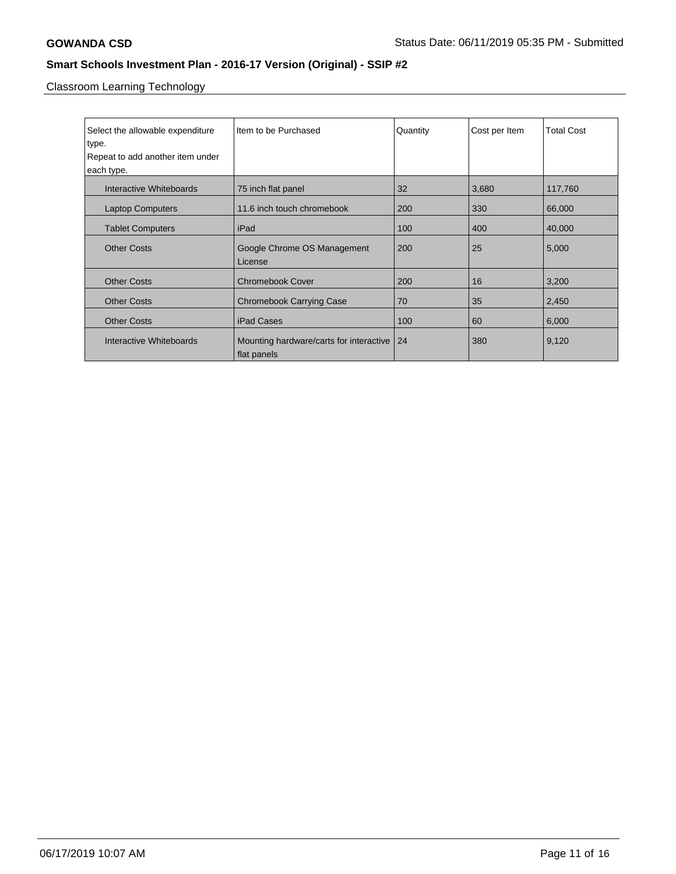Classroom Learning Technology

| Select the allowable expenditure | Item to be Purchased                    | Quantity | Cost per Item | <b>Total Cost</b> |
|----------------------------------|-----------------------------------------|----------|---------------|-------------------|
| type.                            |                                         |          |               |                   |
| Repeat to add another item under |                                         |          |               |                   |
| each type.                       |                                         |          |               |                   |
| Interactive Whiteboards          | 75 inch flat panel                      | 32       | 3,680         | 117,760           |
| <b>Laptop Computers</b>          | 11.6 inch touch chromebook              | 200      | 330           | 66,000            |
| <b>Tablet Computers</b>          | iPad                                    | 100      | 400           | 40,000            |
| <b>Other Costs</b>               | Google Chrome OS Management             | 200      | 25            | 5,000             |
|                                  | License                                 |          |               |                   |
| <b>Other Costs</b>               | <b>Chromebook Cover</b>                 | 200      | 16            | 3,200             |
| <b>Other Costs</b>               | <b>Chromebook Carrying Case</b>         | 70       | 35            | 2,450             |
| <b>Other Costs</b>               | iPad Cases                              | 100      | 60            | 6,000             |
| Interactive Whiteboards          | Mounting hardware/carts for interactive | 24       | 380           | 9,120             |
|                                  | flat panels                             |          |               |                   |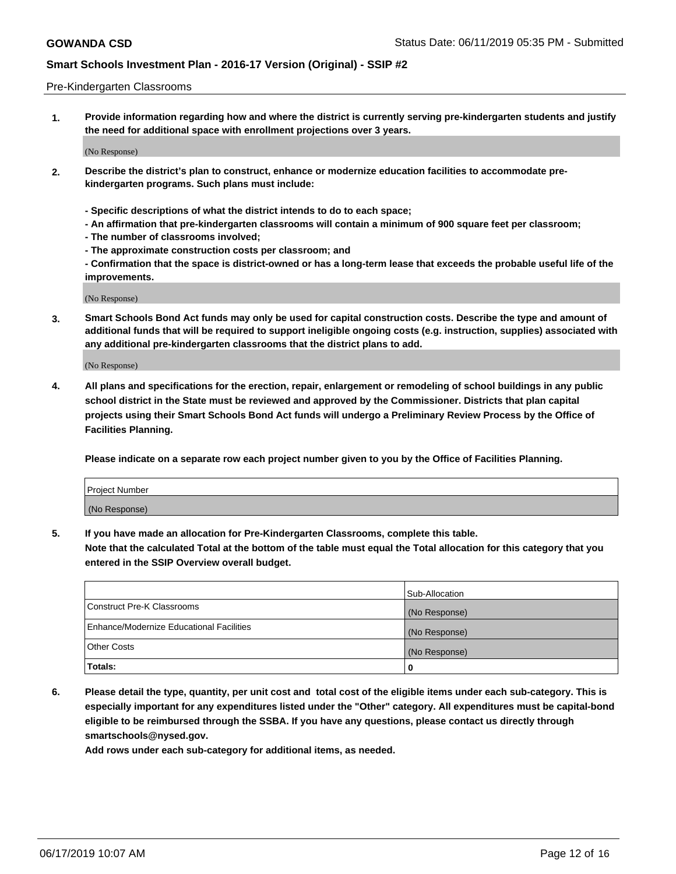#### Pre-Kindergarten Classrooms

**1. Provide information regarding how and where the district is currently serving pre-kindergarten students and justify the need for additional space with enrollment projections over 3 years.**

(No Response)

- **2. Describe the district's plan to construct, enhance or modernize education facilities to accommodate prekindergarten programs. Such plans must include:**
	- **Specific descriptions of what the district intends to do to each space;**
	- **An affirmation that pre-kindergarten classrooms will contain a minimum of 900 square feet per classroom;**
	- **The number of classrooms involved;**
	- **The approximate construction costs per classroom; and**
	- **Confirmation that the space is district-owned or has a long-term lease that exceeds the probable useful life of the improvements.**

(No Response)

**3. Smart Schools Bond Act funds may only be used for capital construction costs. Describe the type and amount of additional funds that will be required to support ineligible ongoing costs (e.g. instruction, supplies) associated with any additional pre-kindergarten classrooms that the district plans to add.**

(No Response)

**4. All plans and specifications for the erection, repair, enlargement or remodeling of school buildings in any public school district in the State must be reviewed and approved by the Commissioner. Districts that plan capital projects using their Smart Schools Bond Act funds will undergo a Preliminary Review Process by the Office of Facilities Planning.**

**Please indicate on a separate row each project number given to you by the Office of Facilities Planning.**

| Project Number |  |
|----------------|--|
| (No Response)  |  |
|                |  |

**5. If you have made an allocation for Pre-Kindergarten Classrooms, complete this table.**

**Note that the calculated Total at the bottom of the table must equal the Total allocation for this category that you entered in the SSIP Overview overall budget.**

|                                          | Sub-Allocation |
|------------------------------------------|----------------|
| Construct Pre-K Classrooms               | (No Response)  |
| Enhance/Modernize Educational Facilities | (No Response)  |
| <b>Other Costs</b>                       | (No Response)  |
| Totals:                                  | 0              |

**6. Please detail the type, quantity, per unit cost and total cost of the eligible items under each sub-category. This is especially important for any expenditures listed under the "Other" category. All expenditures must be capital-bond eligible to be reimbursed through the SSBA. If you have any questions, please contact us directly through smartschools@nysed.gov.**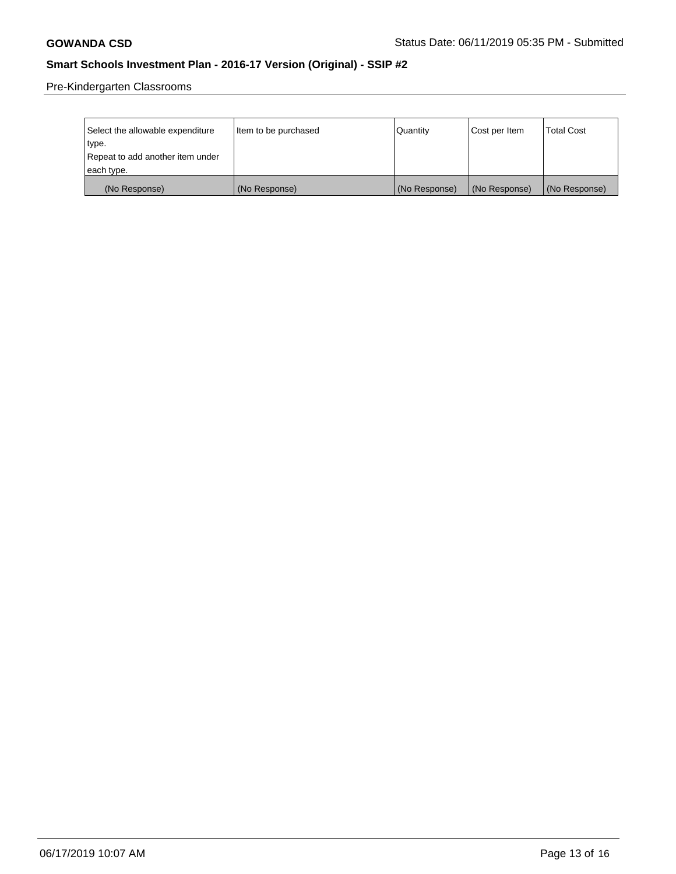Pre-Kindergarten Classrooms

| Select the allowable expenditure | Item to be purchased | Quantity      | Cost per Item | <b>Total Cost</b> |
|----------------------------------|----------------------|---------------|---------------|-------------------|
| type.                            |                      |               |               |                   |
| Repeat to add another item under |                      |               |               |                   |
| each type.                       |                      |               |               |                   |
| (No Response)                    | (No Response)        | (No Response) | (No Response) | (No Response)     |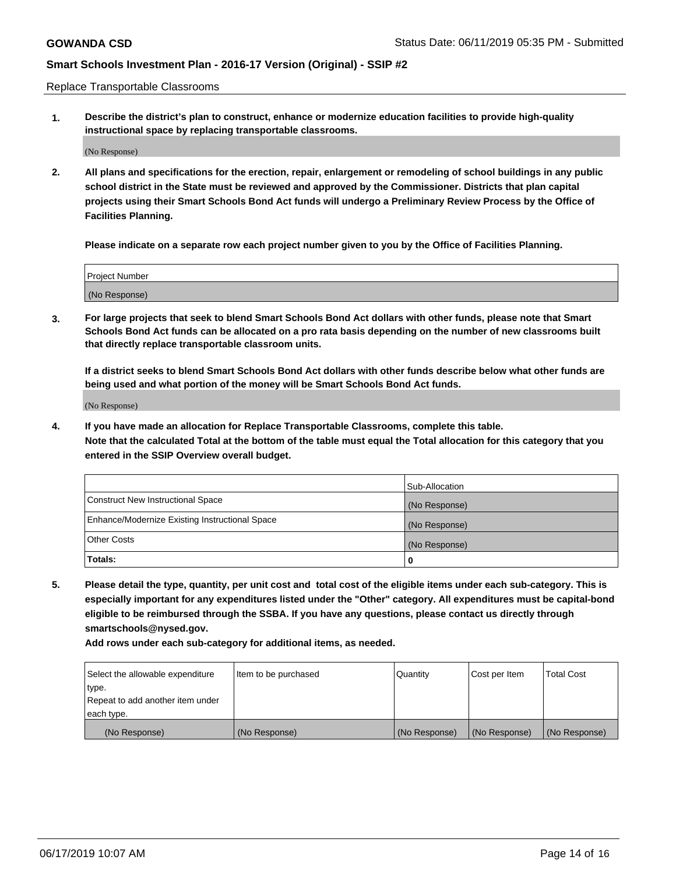Replace Transportable Classrooms

**1. Describe the district's plan to construct, enhance or modernize education facilities to provide high-quality instructional space by replacing transportable classrooms.**

(No Response)

**2. All plans and specifications for the erection, repair, enlargement or remodeling of school buildings in any public school district in the State must be reviewed and approved by the Commissioner. Districts that plan capital projects using their Smart Schools Bond Act funds will undergo a Preliminary Review Process by the Office of Facilities Planning.**

**Please indicate on a separate row each project number given to you by the Office of Facilities Planning.**

| Project Number |  |
|----------------|--|
|                |  |
|                |  |
|                |  |
|                |  |
| (No Response)  |  |
|                |  |
|                |  |
|                |  |

**3. For large projects that seek to blend Smart Schools Bond Act dollars with other funds, please note that Smart Schools Bond Act funds can be allocated on a pro rata basis depending on the number of new classrooms built that directly replace transportable classroom units.**

**If a district seeks to blend Smart Schools Bond Act dollars with other funds describe below what other funds are being used and what portion of the money will be Smart Schools Bond Act funds.**

(No Response)

**4. If you have made an allocation for Replace Transportable Classrooms, complete this table. Note that the calculated Total at the bottom of the table must equal the Total allocation for this category that you entered in the SSIP Overview overall budget.**

|                                                | Sub-Allocation |
|------------------------------------------------|----------------|
| Construct New Instructional Space              | (No Response)  |
| Enhance/Modernize Existing Instructional Space | (No Response)  |
| <b>Other Costs</b>                             | (No Response)  |
| Totals:                                        | 0              |

**5. Please detail the type, quantity, per unit cost and total cost of the eligible items under each sub-category. This is especially important for any expenditures listed under the "Other" category. All expenditures must be capital-bond eligible to be reimbursed through the SSBA. If you have any questions, please contact us directly through smartschools@nysed.gov.**

| Select the allowable expenditure | Item to be purchased | l Quantitv    | Cost per Item | <b>Total Cost</b> |
|----------------------------------|----------------------|---------------|---------------|-------------------|
| type.                            |                      |               |               |                   |
| Repeat to add another item under |                      |               |               |                   |
| each type.                       |                      |               |               |                   |
| (No Response)                    | (No Response)        | (No Response) | (No Response) | (No Response)     |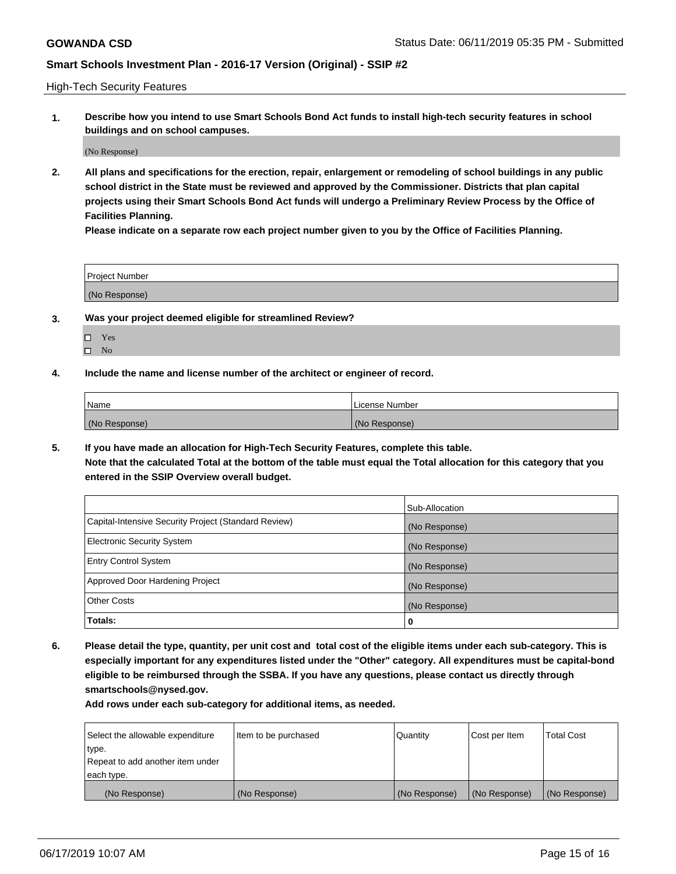High-Tech Security Features

**1. Describe how you intend to use Smart Schools Bond Act funds to install high-tech security features in school buildings and on school campuses.**

(No Response)

**2. All plans and specifications for the erection, repair, enlargement or remodeling of school buildings in any public school district in the State must be reviewed and approved by the Commissioner. Districts that plan capital projects using their Smart Schools Bond Act funds will undergo a Preliminary Review Process by the Office of Facilities Planning.** 

**Please indicate on a separate row each project number given to you by the Office of Facilities Planning.**

| <b>Project Number</b> |  |
|-----------------------|--|
| (No Response)         |  |

- **3. Was your project deemed eligible for streamlined Review?**
	- Yes
	- $\square$  No
- **4. Include the name and license number of the architect or engineer of record.**

| Name          | License Number |
|---------------|----------------|
| (No Response) | (No Response)  |

**5. If you have made an allocation for High-Tech Security Features, complete this table.**

**Note that the calculated Total at the bottom of the table must equal the Total allocation for this category that you entered in the SSIP Overview overall budget.**

|                                                      | Sub-Allocation |
|------------------------------------------------------|----------------|
| Capital-Intensive Security Project (Standard Review) | (No Response)  |
| <b>Electronic Security System</b>                    | (No Response)  |
| <b>Entry Control System</b>                          | (No Response)  |
| Approved Door Hardening Project                      | (No Response)  |
| <b>Other Costs</b>                                   | (No Response)  |
| Totals:                                              | 0              |

**6. Please detail the type, quantity, per unit cost and total cost of the eligible items under each sub-category. This is especially important for any expenditures listed under the "Other" category. All expenditures must be capital-bond eligible to be reimbursed through the SSBA. If you have any questions, please contact us directly through smartschools@nysed.gov.**

| Select the allowable expenditure | Item to be purchased | l Quantitv    | Cost per Item | <b>Total Cost</b> |
|----------------------------------|----------------------|---------------|---------------|-------------------|
| type.                            |                      |               |               |                   |
| Repeat to add another item under |                      |               |               |                   |
| each type.                       |                      |               |               |                   |
| (No Response)                    | (No Response)        | (No Response) | (No Response) | (No Response)     |